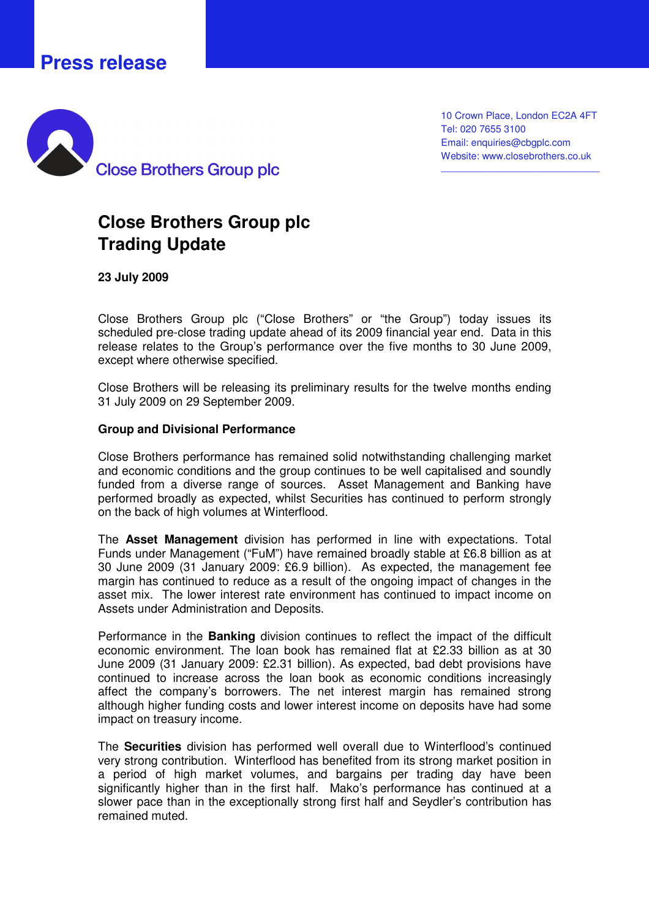## **Press release**



10 Crown Place, London EC2A 4FT Tel: 020 7655 3100 Email: enquiries@cbgplc.com Website: www.closebrothers.co.uk

\_\_\_\_\_\_\_\_\_\_\_\_\_\_\_\_\_\_\_\_\_\_\_\_\_\_\_\_\_

## **Close Brothers Group plc Trading Update**

**23 July 2009** 

Close Brothers Group plc ("Close Brothers" or "the Group") today issues its scheduled pre-close trading update ahead of its 2009 financial year end. Data in this release relates to the Group's performance over the five months to 30 June 2009, except where otherwise specified.

Close Brothers will be releasing its preliminary results for the twelve months ending 31 July 2009 on 29 September 2009.

## **Group and Divisional Performance**

Close Brothers performance has remained solid notwithstanding challenging market and economic conditions and the group continues to be well capitalised and soundly funded from a diverse range of sources. Asset Management and Banking have performed broadly as expected, whilst Securities has continued to perform strongly on the back of high volumes at Winterflood.

The **Asset Management** division has performed in line with expectations. Total Funds under Management ("FuM") have remained broadly stable at £6.8 billion as at 30 June 2009 (31 January 2009: £6.9 billion). As expected, the management fee margin has continued to reduce as a result of the ongoing impact of changes in the asset mix. The lower interest rate environment has continued to impact income on Assets under Administration and Deposits.

Performance in the **Banking** division continues to reflect the impact of the difficult economic environment. The loan book has remained flat at £2.33 billion as at 30 June 2009 (31 January 2009: £2.31 billion). As expected, bad debt provisions have continued to increase across the loan book as economic conditions increasingly affect the company's borrowers. The net interest margin has remained strong although higher funding costs and lower interest income on deposits have had some impact on treasury income.

The **Securities** division has performed well overall due to Winterflood's continued very strong contribution. Winterflood has benefited from its strong market position in a period of high market volumes, and bargains per trading day have been significantly higher than in the first half. Mako's performance has continued at a slower pace than in the exceptionally strong first half and Seydler's contribution has remained muted.